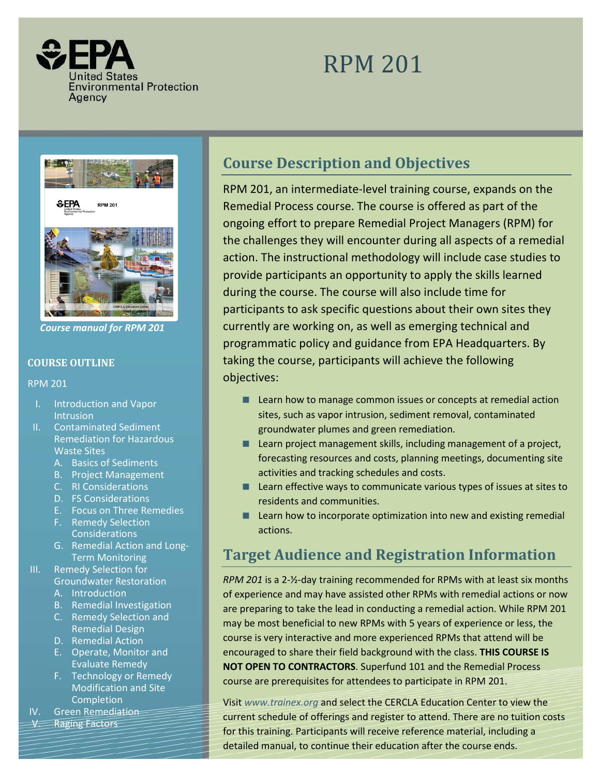

# RPM 201



*Course manual for RPM 201*

## **COURSE OUTLINE**

RPM 201

- I. Introduction and Vapor Intrusion
- II. Contaminated Sediment Remediation for Hazardous Waste Sites
	- A. Basics of Sediments
	- B. Project Management
	- C. RI Considerations
	- D. FS Considerations
	- E. Focus on Three Remedies
	- F. Remedy Selection Considerations
	- G. Remedial Action and Long-Term Monitoring
- III. Remedy Selection for
	- Groundwater Restoration
	- A. Introduction
	- B. Remedial Investigation
	- C. Remedy Selection and Remedial Design
	- D. Remedial Action
	- E. Operate, Monitor and Evaluate Remedy
	- F. Technology or Remedy Modification and Site Completion
- IV. Green Remediation
- V. Raging Factors

# **Course Description and Objectives**

RPM 201, an intermediate-level training course, expands on the Remedial Process course. The course is offered as part of the ongoing effort to prepare Remedial Project Managers (RPM) for the challenges they will encounter during all aspects of a remedial action. The instructional methodology will include case studies to provide participants an opportunity to apply the skills learned during the course. The course will also include time for participants to ask specific questions about their own sites they currently are working on, as well as emerging technical and programmatic policy and guidance from EPA Headquarters. By taking the course, participants will achieve the following objectives:

- **Learn how to manage common issues or concepts at remedial action** sites, such as vapor intrusion, sediment removal, contaminated groundwater plumes and green remediation.
- **Learn project management skills, including management of a project,** forecasting resources and costs, planning meetings, documenting site activities and tracking schedules and costs.
- Learn effective ways to communicate various types of issues at sites to residents and communities.
- **Learn how to incorporate optimization into new and existing remedial** actions.

# **Target Audience and Registration Information**

*RPM 201* is a 2-½-day training recommended for RPMs with at least six months of experience and may have assisted other RPMs with remedial actions or now are preparing to take the lead in conducting a remedial action. While RPM 201 may be most beneficial to new RPMs with 5 years of experience or less, the course is very interactive and more experienced RPMs that attend will be encouraged to share their field background with the class. **THIS COURSE IS NOT OPEN TO CONTRACTORS**. Superfund 101 and the Remedial Process course are prerequisites for attendees to participate in RPM 201.

current schedule of offerings and register to attend. There are no tuition costs Visit *[www.trainex.org](http://www.trainex.org/)* and select the CERCLA Education Center to view the for this training. Participants will receive reference material, including a detailed manual, to continue their education after the course ends.